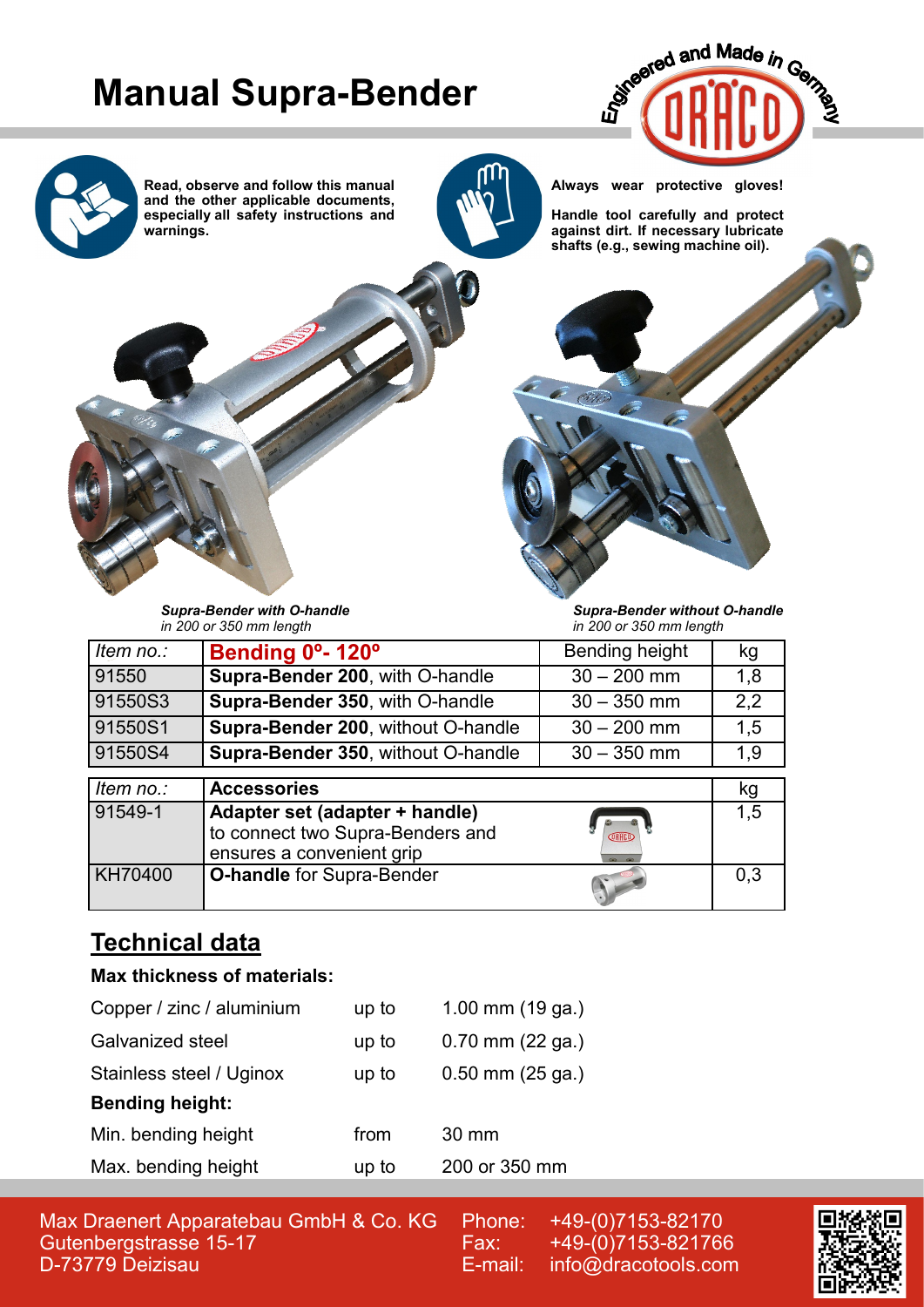## **Manual Supra-Bender**





**Read, observe and follow this manual and the other applicable documents, especially all safety instructions and warnings.**



**Always wear protective gloves!**

**Handle tool carefully and protect against dirt. If necessary lubricate shafts (e.g., sewing machine oil).**



*Supra-Bender without O-handle in 200 or 350 mm length*

| Item no.: | Bending 0°-120°                                                                                 | Bending height                    | kg  |
|-----------|-------------------------------------------------------------------------------------------------|-----------------------------------|-----|
| 91550     | Supra-Bender 200, with O-handle                                                                 | $30 - 200$ mm                     | 1,8 |
| 91550S3   | Supra-Bender 350, with O-handle                                                                 | $30 - 350$ mm                     | 2,2 |
| 91550S1   | Supra-Bender 200, without O-handle                                                              | $30 - 200$ mm                     | 1,5 |
| 91550S4   | Supra-Bender 350, without O-handle                                                              | $30 - 350$ mm                     | 1,9 |
|           |                                                                                                 |                                   |     |
|           |                                                                                                 |                                   |     |
| Item no.: | <b>Accessories</b>                                                                              |                                   | kg  |
| 91549-1   | Adapter set (adapter + handle)<br>to connect two Supra-Benders and<br>ensures a convenient grip | <b>ORACO</b><br>$\omega$ $\omega$ | 1.5 |

## **Technical data**

#### **Max thickness of materials:**

| Copper / zinc / aluminium | up to | 1.00 mm $(19$ ga.)   |  |  |
|---------------------------|-------|----------------------|--|--|
| Galvanized steel          | up to | $0.70$ mm $(22$ ga.) |  |  |
| Stainless steel / Uginox  | up to | $0.50$ mm $(25$ ga.) |  |  |
| <b>Bending height:</b>    |       |                      |  |  |
| Min. bending height       | from  | 30 mm                |  |  |
| Max. bending height       | up to | 200 or 350 mm        |  |  |
|                           |       |                      |  |  |

Max Draenert Apparatebau GmbH & Co. KG Gutenbergstrasse 15-17 D-73779 Deizisau

Phone: +49-(0)7153-82170 Fax: +49-(0)7153-821766 E-mail: info@dracotools.com